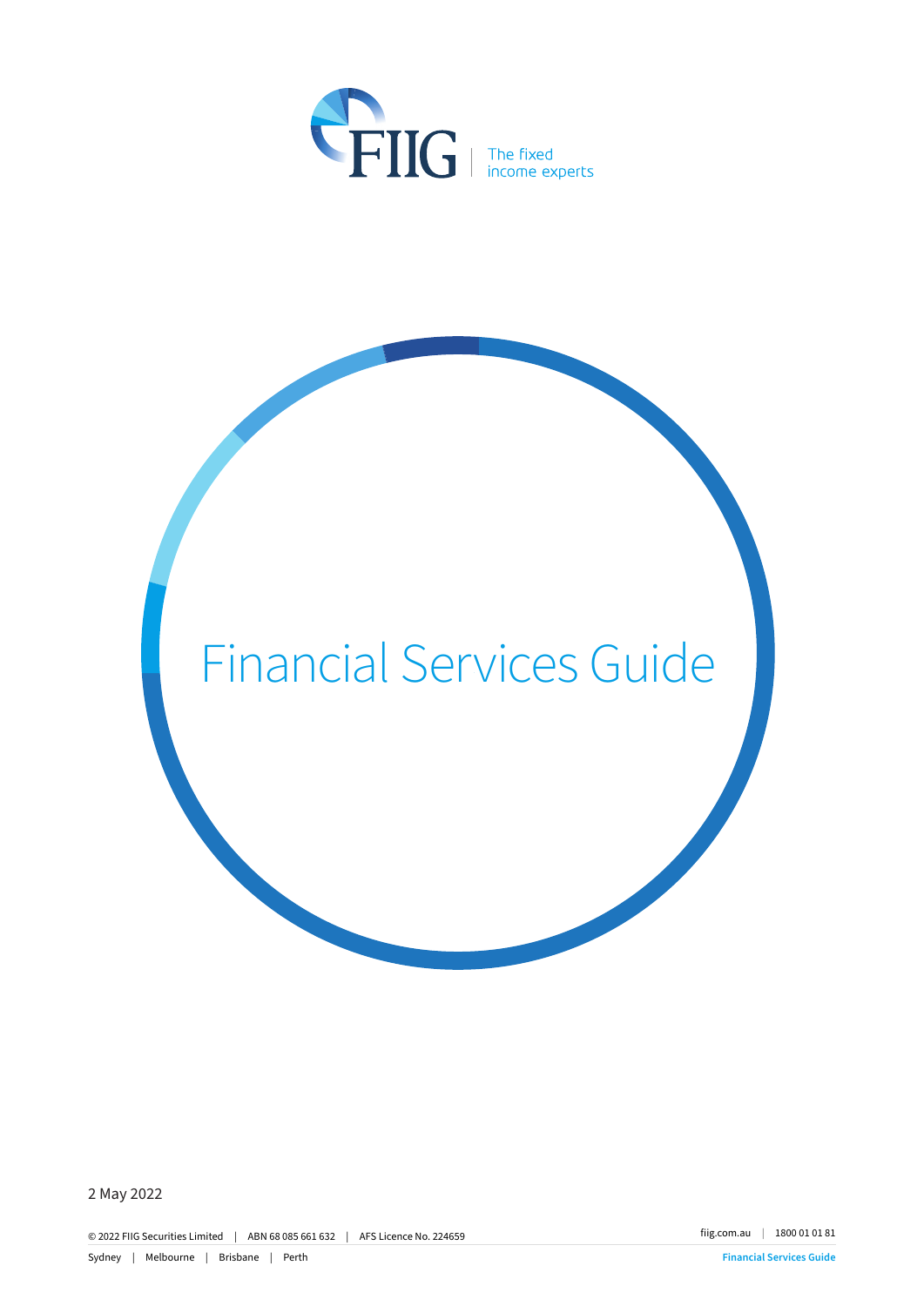

# Financial Services Guide

2 May 2022

© 2022 FIIG Securities Limited | ABN 68 085 661 632 | AFS Licence No. 224659 fiig.com.au | 1800 01 01 81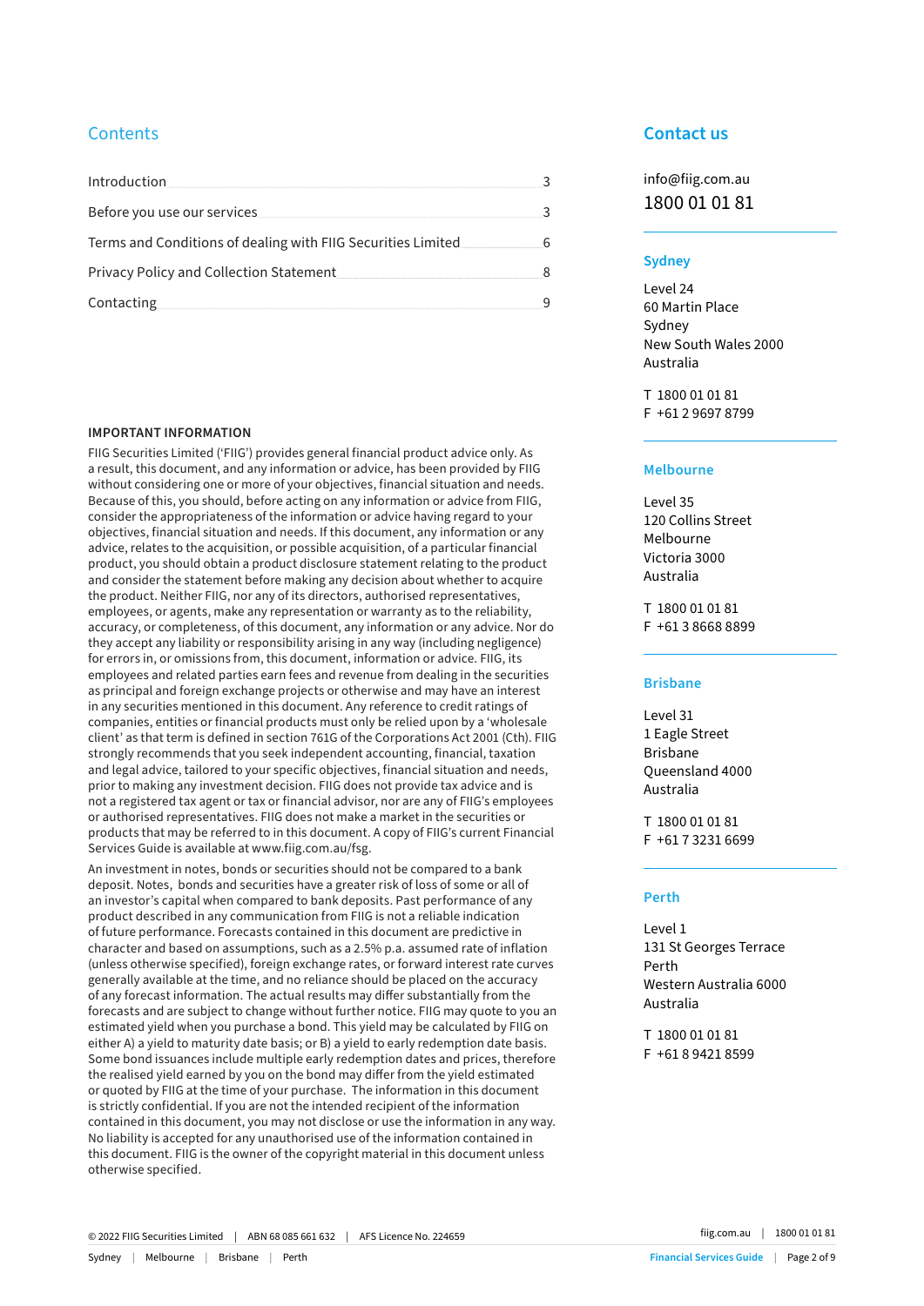# **Contents**

| Introduction                                                  |  |
|---------------------------------------------------------------|--|
| Before you use our services                                   |  |
| Terms and Conditions of dealing with FIIG Securities Limited. |  |
| <b>Privacy Policy and Collection Statement</b>                |  |
| Contacting                                                    |  |

#### **IMPORTANT INFORMATION**

FIIG Securities Limited ('FIIG') provides general financial product advice only. As a result, this document, and any information or advice, has been provided by FIIG without considering one or more of your objectives, financial situation and needs. Because of this, you should, before acting on any information or advice from FIIG, consider the appropriateness of the information or advice having regard to your objectives, financial situation and needs. If this document, any information or any advice, relates to the acquisition, or possible acquisition, of a particular financial product, you should obtain a product disclosure statement relating to the product and consider the statement before making any decision about whether to acquire the product. Neither FIIG, nor any of its directors, authorised representatives, employees, or agents, make any representation or warranty as to the reliability, accuracy, or completeness, of this document, any information or any advice. Nor do they accept any liability or responsibility arising in any way (including negligence) for errors in, or omissions from, this document, information or advice. FIIG, its employees and related parties earn fees and revenue from dealing in the securities as principal and foreign exchange projects or otherwise and may have an interest in any securities mentioned in this document. Any reference to credit ratings of companies, entities or financial products must only be relied upon by a 'wholesale client' as that term is defined in section 761G of the Corporations Act 2001 (Cth). FIIG strongly recommends that you seek independent accounting, financial, taxation and legal advice, tailored to your specific objectives, financial situation and needs, prior to making any investment decision. FIIG does not provide tax advice and is not a registered tax agent or tax or financial advisor, nor are any of FIIG's employees or authorised representatives. FIIG does not make a market in the securities or products that may be referred to in this document. A copy of FIIG's current Financial Services Guide is available at www.fiig.com.au/fsg.

An investment in notes, bonds or securities should not be compared to a bank deposit. Notes, bonds and securities have a greater risk of loss of some or all of an investor's capital when compared to bank deposits. Past performance of any product described in any communication from FIIG is not a reliable indication of future performance. Forecasts contained in this document are predictive in character and based on assumptions, such as a 2.5% p.a. assumed rate of inflation (unless otherwise specified), foreign exchange rates, or forward interest rate curves generally available at the time, and no reliance should be placed on the accuracy of any forecast information. The actual results may differ substantially from the forecasts and are subject to change without further notice. FIIG may quote to you an estimated yield when you purchase a bond. This yield may be calculated by FIIG on either A) a yield to maturity date basis; or B) a yield to early redemption date basis. Some bond issuances include multiple early redemption dates and prices, therefore the realised yield earned by you on the bond may differ from the yield estimated or quoted by FIIG at the time of your purchase. The information in this document is strictly confidential. If you are not the intended recipient of the information contained in this document, you may not disclose or use the information in any way. No liability is accepted for any unauthorised use of the information contained in this document. FIIG is the owner of the copyright material in this document unless otherwise specified.

# **Contact us**

info@fiig.com.au 1800 01 01 81

## **Sydney**

Level 24 60 Martin Place Sydney New South Wales 2000 Australia

T 1800 01 01 81 F +61 2 9697 8799

## **Melbourne**

Level 35 120 Collins Street Melbourne Victoria 3000 Australia

T 1800 01 01 81 F +61 3 8668 8899

#### **Brisbane**

Level 31 1 Eagle Street Brisbane Queensland 4000 Australia

T 1800 01 01 81 F +61 7 3231 6699

## **Perth**

Level 1 131 St Georges Terrace Perth Western Australia 6000 Australia

T 1800 01 01 81 F +61 8 9421 8599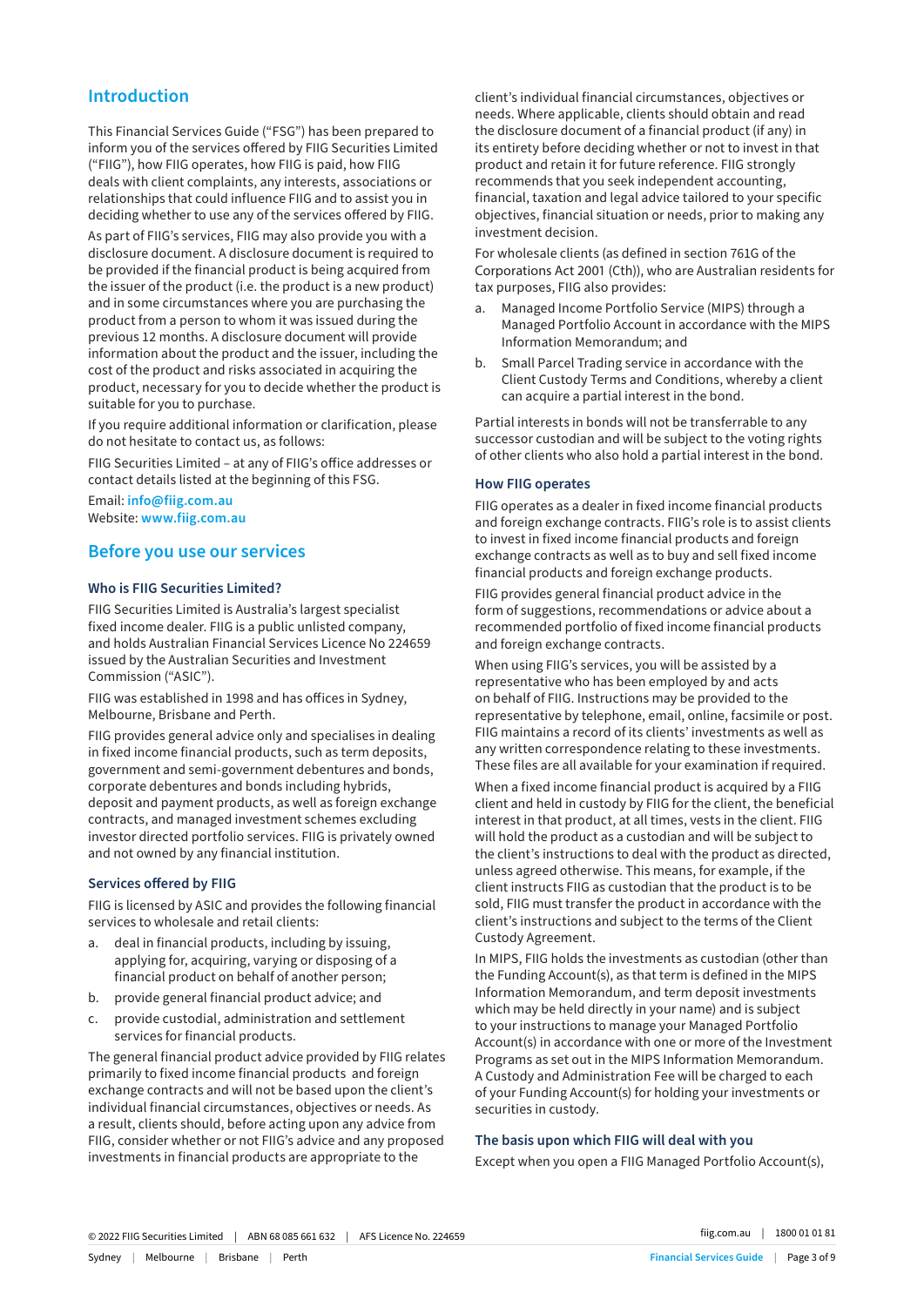# **Introduction**

This Financial Services Guide ("FSG") has been prepared to inform you of the services offered by FIIG Securities Limited ("FIIG"), how FIIG operates, how FIIG is paid, how FIIG deals with client complaints, any interests, associations or relationships that could influence FIIG and to assist you in deciding whether to use any of the services offered by FIIG.

As part of FIIG's services, FIIG may also provide you with a disclosure document. A disclosure document is required to be provided if the financial product is being acquired from the issuer of the product (i.e. the product is a new product) and in some circumstances where you are purchasing the product from a person to whom it was issued during the previous 12 months. A disclosure document will provide information about the product and the issuer, including the cost of the product and risks associated in acquiring the product, necessary for you to decide whether the product is suitable for you to purchase.

If you require additional information or clarification, please do not hesitate to contact us, as follows:

FIIG Securities Limited – at any of FIIG's office addresses or contact details listed at the beginning of this FSG.

Email: **info@fiig.com.au** Website: **www.fiig.com.au**

## **Before you use our services**

## **Who is FIIG Securities Limited?**

FIIG Securities Limited is Australia's largest specialist fixed income dealer. FIIG is a public unlisted company, and holds Australian Financial Services Licence No 224659 issued by the Australian Securities and Investment Commission ("ASIC").

FIIG was established in 1998 and has offices in Sydney, Melbourne, Brisbane and Perth.

FIIG provides general advice only and specialises in dealing in fixed income financial products, such as term deposits, government and semi-government debentures and bonds, corporate debentures and bonds including hybrids, deposit and payment products, as well as foreign exchange contracts, and managed investment schemes excluding investor directed portfolio services. FIIG is privately owned and not owned by any financial institution.

#### **Services offered by FIIG**

FIIG is licensed by ASIC and provides the following financial services to wholesale and retail clients:

- a. deal in financial products, including by issuing, applying for, acquiring, varying or disposing of a financial product on behalf of another person;
- b. provide general financial product advice; and
- c. provide custodial, administration and settlement services for financial products.

The general financial product advice provided by FIIG relates primarily to fixed income financial products and foreign exchange contracts and will not be based upon the client's individual financial circumstances, objectives or needs. As a result, clients should, before acting upon any advice from FIIG, consider whether or not FIIG's advice and any proposed investments in financial products are appropriate to the

client's individual financial circumstances, objectives or needs. Where applicable, clients should obtain and read the disclosure document of a financial product (if any) in its entirety before deciding whether or not to invest in that product and retain it for future reference. FIIG strongly recommends that you seek independent accounting, financial, taxation and legal advice tailored to your specific objectives, financial situation or needs, prior to making any investment decision.

For wholesale clients (as defined in section 761G of the Corporations Act 2001 (Cth)), who are Australian residents for tax purposes, FIIG also provides:

- Managed Income Portfolio Service (MIPS) through a Managed Portfolio Account in accordance with the MIPS Information Memorandum; and
- b. Small Parcel Trading service in accordance with the Client Custody Terms and Conditions, whereby a client can acquire a partial interest in the bond.

Partial interests in bonds will not be transferrable to any successor custodian and will be subject to the voting rights of other clients who also hold a partial interest in the bond.

#### **How FIIG operates**

FIIG operates as a dealer in fixed income financial products and foreign exchange contracts. FIIG's role is to assist clients to invest in fixed income financial products and foreign exchange contracts as well as to buy and sell fixed income financial products and foreign exchange products.

FIIG provides general financial product advice in the form of suggestions, recommendations or advice about a recommended portfolio of fixed income financial products and foreign exchange contracts.

When using FIIG's services, you will be assisted by a representative who has been employed by and acts on behalf of FIIG. Instructions may be provided to the representative by telephone, email, online, facsimile or post. FIIG maintains a record of its clients' investments as well as any written correspondence relating to these investments. These files are all available for your examination if required.

When a fixed income financial product is acquired by a FIIG client and held in custody by FIIG for the client, the beneficial interest in that product, at all times, vests in the client. FIIG will hold the product as a custodian and will be subject to the client's instructions to deal with the product as directed, unless agreed otherwise. This means, for example, if the client instructs FIIG as custodian that the product is to be sold, FIIG must transfer the product in accordance with the client's instructions and subject to the terms of the Client Custody Agreement.

In MIPS, FIIG holds the investments as custodian (other than the Funding Account(s), as that term is defined in the MIPS Information Memorandum, and term deposit investments which may be held directly in your name) and is subject to your instructions to manage your Managed Portfolio Account(s) in accordance with one or more of the Investment Programs as set out in the MIPS Information Memorandum. A Custody and Administration Fee will be charged to each of your Funding Account(s) for holding your investments or securities in custody.

## **The basis upon which FIIG will deal with you**

Except when you open a FIIG Managed Portfolio Account(s),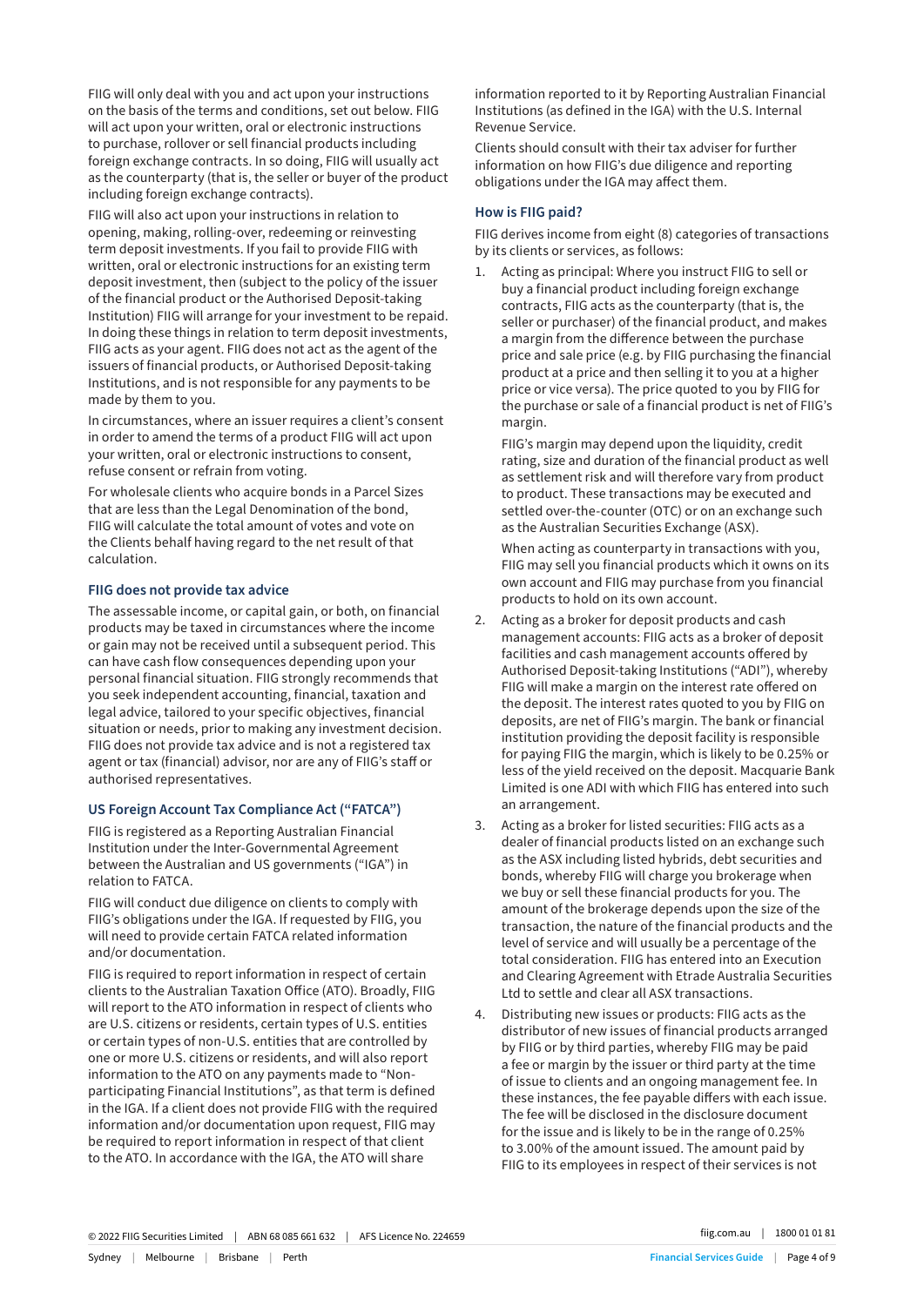FIIG will only deal with you and act upon your instructions on the basis of the terms and conditions, set out below. FIIG will act upon your written, oral or electronic instructions to purchase, rollover or sell financial products including foreign exchange contracts. In so doing, FIIG will usually act as the counterparty (that is, the seller or buyer of the product including foreign exchange contracts).

FIIG will also act upon your instructions in relation to opening, making, rolling-over, redeeming or reinvesting term deposit investments. If you fail to provide FIIG with written, oral or electronic instructions for an existing term deposit investment, then (subject to the policy of the issuer of the financial product or the Authorised Deposit-taking Institution) FIIG will arrange for your investment to be repaid. In doing these things in relation to term deposit investments, FIIG acts as your agent. FIIG does not act as the agent of the issuers of financial products, or Authorised Deposit-taking Institutions, and is not responsible for any payments to be made by them to you.

In circumstances, where an issuer requires a client's consent in order to amend the terms of a product FIIG will act upon your written, oral or electronic instructions to consent, refuse consent or refrain from voting.

For wholesale clients who acquire bonds in a Parcel Sizes that are less than the Legal Denomination of the bond, FIIG will calculate the total amount of votes and vote on the Clients behalf having regard to the net result of that calculation.

#### **FIIG does not provide tax advice**

The assessable income, or capital gain, or both, on financial products may be taxed in circumstances where the income or gain may not be received until a subsequent period. This can have cash flow consequences depending upon your personal financial situation. FIIG strongly recommends that you seek independent accounting, financial, taxation and legal advice, tailored to your specific objectives, financial situation or needs, prior to making any investment decision. FIIG does not provide tax advice and is not a registered tax agent or tax (financial) advisor, nor are any of FIIG's staff or authorised representatives.

#### **US Foreign Account Tax Compliance Act ("FATCA")**

FIIG is registered as a Reporting Australian Financial Institution under the Inter-Governmental Agreement between the Australian and US governments ("IGA") in relation to FATCA.

FIIG will conduct due diligence on clients to comply with FIIG's obligations under the IGA. If requested by FIIG, you will need to provide certain FATCA related information and/or documentation.

FIIG is required to report information in respect of certain clients to the Australian Taxation Office (ATO). Broadly, FIIG will report to the ATO information in respect of clients who are U.S. citizens or residents, certain types of U.S. entities or certain types of non-U.S. entities that are controlled by one or more U.S. citizens or residents, and will also report information to the ATO on any payments made to "Nonparticipating Financial Institutions", as that term is defined in the IGA. If a client does not provide FIIG with the required information and/or documentation upon request, FIIG may be required to report information in respect of that client to the ATO. In accordance with the IGA, the ATO will share

information reported to it by Reporting Australian Financial Institutions (as defined in the IGA) with the U.S. Internal Revenue Service.

Clients should consult with their tax adviser for further information on how FIIG's due diligence and reporting obligations under the IGA may affect them.

## **How is FIIG paid?**

FIIG derives income from eight (8) categories of transactions by its clients or services, as follows:

1. Acting as principal: Where you instruct FIIG to sell or buy a financial product including foreign exchange contracts, FIIG acts as the counterparty (that is, the seller or purchaser) of the financial product, and makes a margin from the difference between the purchase price and sale price (e.g. by FIIG purchasing the financial product at a price and then selling it to you at a higher price or vice versa). The price quoted to you by FIIG for the purchase or sale of a financial product is net of FIIG's margin.

FIIG's margin may depend upon the liquidity, credit rating, size and duration of the financial product as well as settlement risk and will therefore vary from product to product. These transactions may be executed and settled over-the-counter (OTC) or on an exchange such as the Australian Securities Exchange (ASX).

When acting as counterparty in transactions with you, FIIG may sell you financial products which it owns on its own account and FIIG may purchase from you financial products to hold on its own account.

- 2. Acting as a broker for deposit products and cash management accounts: FIIG acts as a broker of deposit facilities and cash management accounts offered by Authorised Deposit-taking Institutions ("ADI"), whereby FIIG will make a margin on the interest rate offered on the deposit. The interest rates quoted to you by FIIG on deposits, are net of FIIG's margin. The bank or financial institution providing the deposit facility is responsible for paying FIIG the margin, which is likely to be 0.25% or less of the yield received on the deposit. Macquarie Bank Limited is one ADI with which FIIG has entered into such an arrangement.
- 3. Acting as a broker for listed securities: FIIG acts as a dealer of financial products listed on an exchange such as the ASX including listed hybrids, debt securities and bonds, whereby FIIG will charge you brokerage when we buy or sell these financial products for you. The amount of the brokerage depends upon the size of the transaction, the nature of the financial products and the level of service and will usually be a percentage of the total consideration. FIIG has entered into an Execution and Clearing Agreement with Etrade Australia Securities Ltd to settle and clear all ASX transactions.
- 4. Distributing new issues or products: FIIG acts as the distributor of new issues of financial products arranged by FIIG or by third parties, whereby FIIG may be paid a fee or margin by the issuer or third party at the time of issue to clients and an ongoing management fee. In these instances, the fee payable differs with each issue. The fee will be disclosed in the disclosure document for the issue and is likely to be in the range of 0.25% to 3.00% of the amount issued. The amount paid by FIIG to its employees in respect of their services is not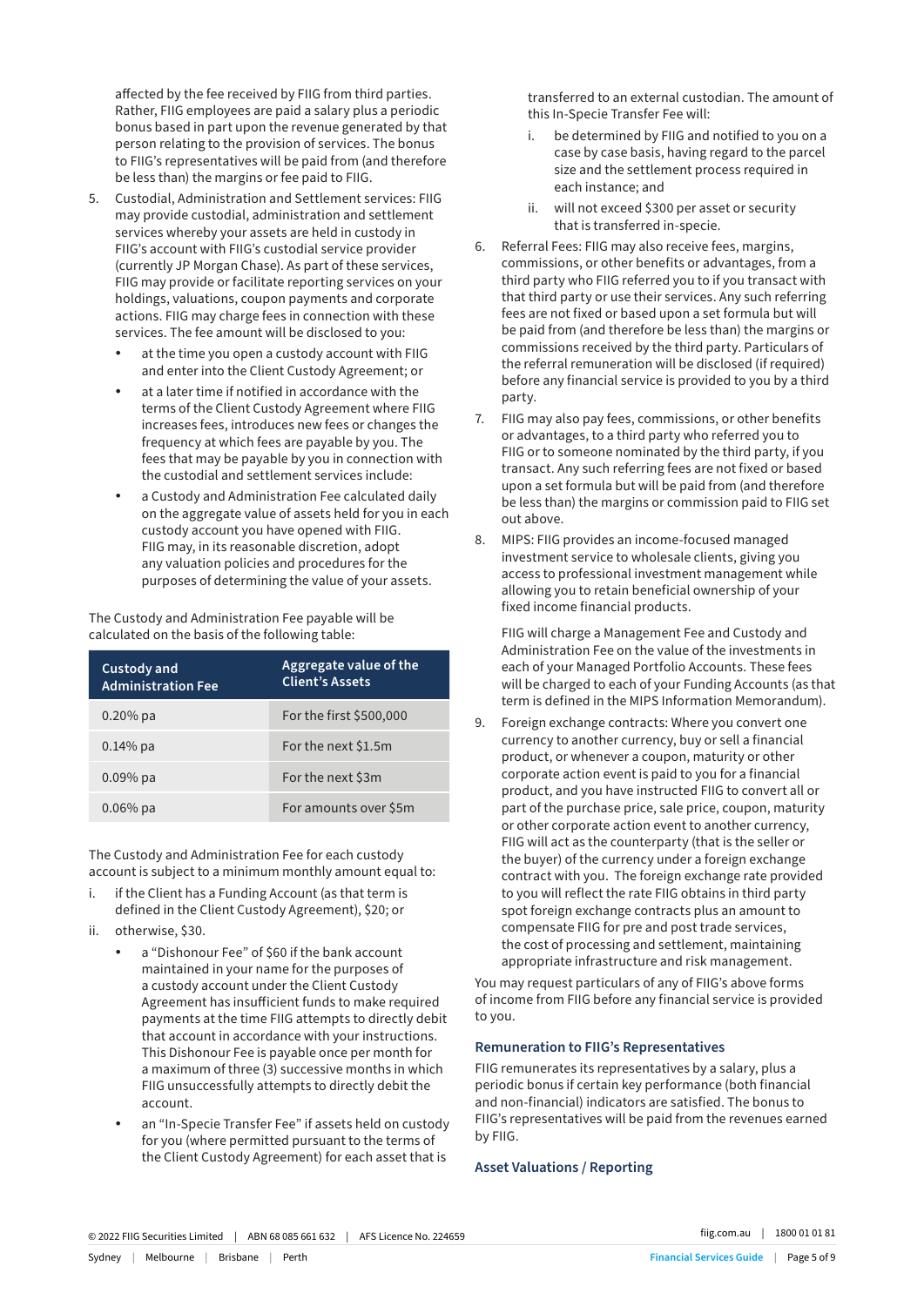affected by the fee received by FIIG from third parties. Rather, FIIG employees are paid a salary plus a periodic bonus based in part upon the revenue generated by that person relating to the provision of services. The bonus to FIIG's representatives will be paid from (and therefore be less than) the margins or fee paid to FIIG.

- 5. Custodial, Administration and Settlement services: FIIG may provide custodial, administration and settlement services whereby your assets are held in custody in FIIG's account with FIIG's custodial service provider (currently JP Morgan Chase). As part of these services, FIIG may provide or facilitate reporting services on your holdings, valuations, coupon payments and corporate actions. FIIG may charge fees in connection with these services. The fee amount will be disclosed to you:
	- at the time you open a custody account with FIIG and enter into the Client Custody Agreement; or
	- at a later time if notified in accordance with the terms of the Client Custody Agreement where FIIG increases fees, introduces new fees or changes the frequency at which fees are payable by you. The fees that may be payable by you in connection with the custodial and settlement services include:
	- a Custody and Administration Fee calculated daily on the aggregate value of assets held for you in each custody account you have opened with FIIG. FIIG may, in its reasonable discretion, adopt any valuation policies and procedures for the purposes of determining the value of your assets.

The Custody and Administration Fee payable will be calculated on the basis of the following table:

| <b>Custody and</b><br><b>Administration Fee</b> | Aggregate value of the<br><b>Client's Assets</b> |
|-------------------------------------------------|--------------------------------------------------|
| $0.20\%$ pa                                     | For the first \$500,000                          |
| $0.14\%$ pa                                     | For the next \$1.5m                              |
| $0.09\%$ pa                                     | For the next \$3m                                |
| $0.06\%$ pa                                     | For amounts over \$5m                            |

The Custody and Administration Fee for each custody account is subject to a minimum monthly amount equal to:

- i. if the Client has a Funding Account (as that term is defined in the Client Custody Agreement), \$20; or
- ii. otherwise, \$30.
	- a "Dishonour Fee" of \$60 if the bank account maintained in your name for the purposes of a custody account under the Client Custody Agreement has insufficient funds to make required payments at the time FIIG attempts to directly debit that account in accordance with your instructions. This Dishonour Fee is payable once per month for a maximum of three (3) successive months in which FIIG unsuccessfully attempts to directly debit the account.
	- an "In-Specie Transfer Fee" if assets held on custody for you (where permitted pursuant to the terms of the Client Custody Agreement) for each asset that is

transferred to an external custodian. The amount of this In-Specie Transfer Fee will:

- i. be determined by FIIG and notified to you on a case by case basis, having regard to the parcel size and the settlement process required in each instance; and
- ii. will not exceed \$300 per asset or security that is transferred in-specie.
- 6. Referral Fees: FIIG may also receive fees, margins, commissions, or other benefits or advantages, from a third party who FIIG referred you to if you transact with that third party or use their services. Any such referring fees are not fixed or based upon a set formula but will be paid from (and therefore be less than) the margins or commissions received by the third party. Particulars of the referral remuneration will be disclosed (if required) before any financial service is provided to you by a third party.
- 7. FIIG may also pay fees, commissions, or other benefits or advantages, to a third party who referred you to FIIG or to someone nominated by the third party, if you transact. Any such referring fees are not fixed or based upon a set formula but will be paid from (and therefore be less than) the margins or commission paid to FIIG set out above.
- 8. MIPS: FIIG provides an income-focused managed investment service to wholesale clients, giving you access to professional investment management while allowing you to retain beneficial ownership of your fixed income financial products.

FIIG will charge a Management Fee and Custody and Administration Fee on the value of the investments in each of your Managed Portfolio Accounts. These fees will be charged to each of your Funding Accounts (as that term is defined in the MIPS Information Memorandum).

9. Foreign exchange contracts: Where you convert one currency to another currency, buy or sell a financial product, or whenever a coupon, maturity or other corporate action event is paid to you for a financial product, and you have instructed FIIG to convert all or part of the purchase price, sale price, coupon, maturity or other corporate action event to another currency, FIIG will act as the counterparty (that is the seller or the buyer) of the currency under a foreign exchange contract with you. The foreign exchange rate provided to you will reflect the rate FIIG obtains in third party spot foreign exchange contracts plus an amount to compensate FIIG for pre and post trade services, the cost of processing and settlement, maintaining appropriate infrastructure and risk management.

You may request particulars of any of FIIG's above forms of income from FIIG before any financial service is provided to you.

## **Remuneration to FIIG's Representatives**

FIIG remunerates its representatives by a salary, plus a periodic bonus if certain key performance (both financial and non-financial) indicators are satisfied. The bonus to FIIG's representatives will be paid from the revenues earned by FIIG.

## **Asset Valuations / Reporting**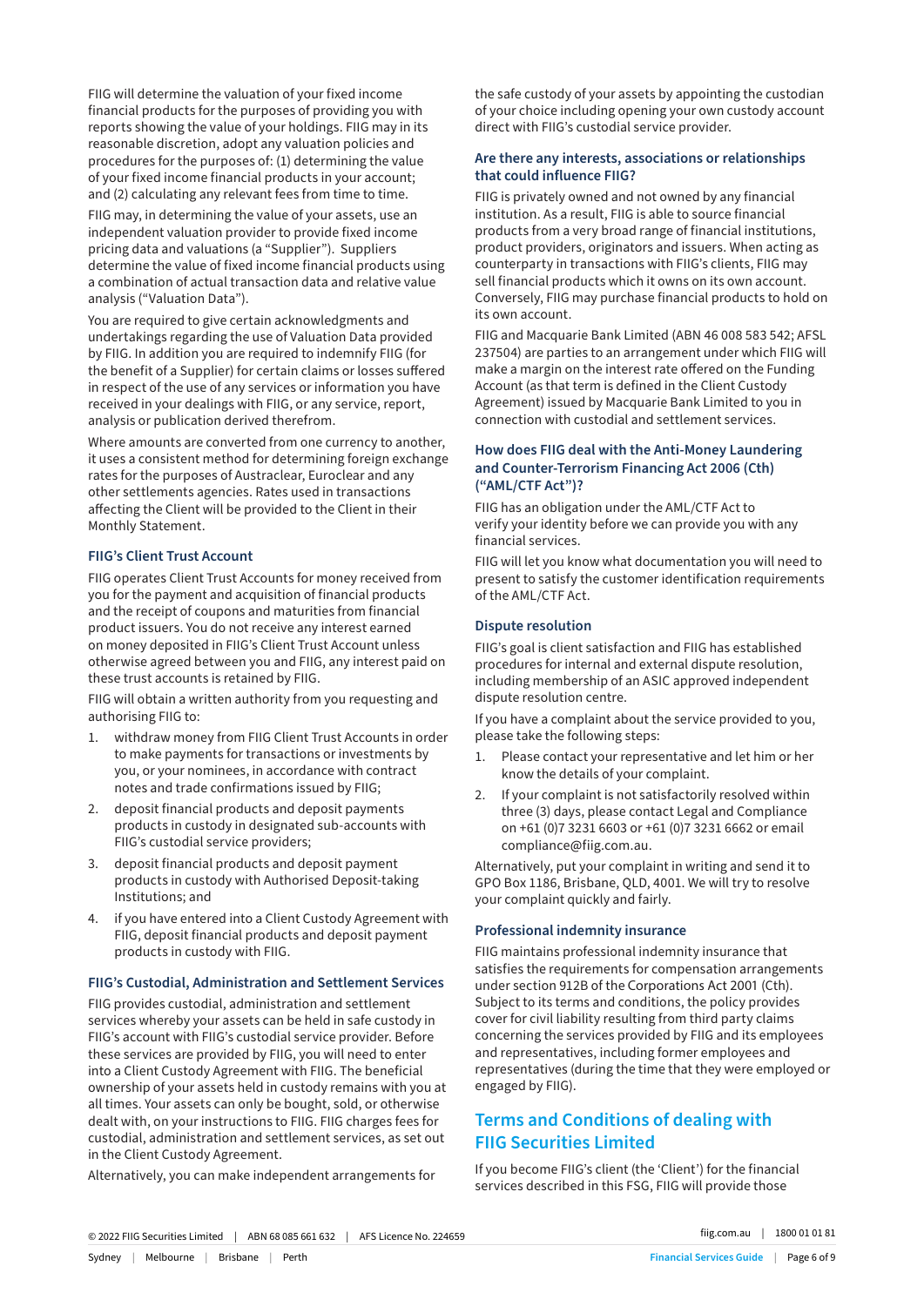FIIG will determine the valuation of your fixed income financial products for the purposes of providing you with reports showing the value of your holdings. FIIG may in its reasonable discretion, adopt any valuation policies and procedures for the purposes of: (1) determining the value of your fixed income financial products in your account; and (2) calculating any relevant fees from time to time.

FIIG may, in determining the value of your assets, use an independent valuation provider to provide fixed income pricing data and valuations (a "Supplier"). Suppliers determine the value of fixed income financial products using a combination of actual transaction data and relative value analysis ("Valuation Data").

You are required to give certain acknowledgments and undertakings regarding the use of Valuation Data provided by FIIG. In addition you are required to indemnify FIIG (for the benefit of a Supplier) for certain claims or losses suffered in respect of the use of any services or information you have received in your dealings with FIIG, or any service, report, analysis or publication derived therefrom.

Where amounts are converted from one currency to another, it uses a consistent method for determining foreign exchange rates for the purposes of Austraclear, Euroclear and any other settlements agencies. Rates used in transactions affecting the Client will be provided to the Client in their Monthly Statement.

#### **FIIG's Client Trust Account**

FIIG operates Client Trust Accounts for money received from you for the payment and acquisition of financial products and the receipt of coupons and maturities from financial product issuers. You do not receive any interest earned on money deposited in FIIG's Client Trust Account unless otherwise agreed between you and FIIG, any interest paid on these trust accounts is retained by FIIG.

FIIG will obtain a written authority from you requesting and authorising FIIG to:

- 1. withdraw money from FIIG Client Trust Accounts in order to make payments for transactions or investments by you, or your nominees, in accordance with contract notes and trade confirmations issued by FIIG;
- 2. deposit financial products and deposit payments products in custody in designated sub-accounts with FIIG's custodial service providers;
- 3. deposit financial products and deposit payment products in custody with Authorised Deposit-taking Institutions; and
- 4. if you have entered into a Client Custody Agreement with FIIG, deposit financial products and deposit payment products in custody with FIIG.

#### **FIIG's Custodial, Administration and Settlement Services**

FIIG provides custodial, administration and settlement services whereby your assets can be held in safe custody in FIIG's account with FIIG's custodial service provider. Before these services are provided by FIIG, you will need to enter into a Client Custody Agreement with FIIG. The beneficial ownership of your assets held in custody remains with you at all times. Your assets can only be bought, sold, or otherwise dealt with, on your instructions to FIIG. FIIG charges fees for custodial, administration and settlement services, as set out in the Client Custody Agreement.

Alternatively, you can make independent arrangements for

the safe custody of your assets by appointing the custodian of your choice including opening your own custody account direct with FIIG's custodial service provider.

#### **Are there any interests, associations or relationships that could influence FIIG?**

FIIG is privately owned and not owned by any financial institution. As a result, FIIG is able to source financial products from a very broad range of financial institutions, product providers, originators and issuers. When acting as counterparty in transactions with FIIG's clients, FIIG may sell financial products which it owns on its own account. Conversely, FIIG may purchase financial products to hold on its own account.

FIIG and Macquarie Bank Limited (ABN 46 008 583 542; AFSL 237504) are parties to an arrangement under which FIIG will make a margin on the interest rate offered on the Funding Account (as that term is defined in the Client Custody Agreement) issued by Macquarie Bank Limited to you in connection with custodial and settlement services.

## **How does FIIG deal with the Anti-Money Laundering and Counter-Terrorism Financing Act 2006 (Cth) ("AML/CTF Act")?**

FIIG has an obligation under the AML/CTF Act to verify your identity before we can provide you with any financial services.

FIIG will let you know what documentation you will need to present to satisfy the customer identification requirements of the AML/CTF Act.

#### **Dispute resolution**

FIIG's goal is client satisfaction and FIIG has established procedures for internal and external dispute resolution, including membership of an ASIC approved independent dispute resolution centre.

If you have a complaint about the service provided to you, please take the following steps:

- 1. Please contact your representative and let him or her know the details of your complaint.
- 2. If your complaint is not satisfactorily resolved within three (3) days, please contact Legal and Compliance on +61 (0)7 3231 6603 or +61 (0)7 3231 6662 or email compliance@fiig.com.au.

Alternatively, put your complaint in writing and send it to GPO Box 1186, Brisbane, QLD, 4001. We will try to resolve your complaint quickly and fairly.

#### **Professional indemnity insurance**

FIIG maintains professional indemnity insurance that satisfies the requirements for compensation arrangements under section 912B of the Corporations Act 2001 (Cth). Subject to its terms and conditions, the policy provides cover for civil liability resulting from third party claims concerning the services provided by FIIG and its employees and representatives, including former employees and representatives (during the time that they were employed or engaged by FIIG).

# **Terms and Conditions of dealing with FIIG Securities Limited**

If you become FIIG's client (the 'Client') for the financial services described in this FSG, FIIG will provide those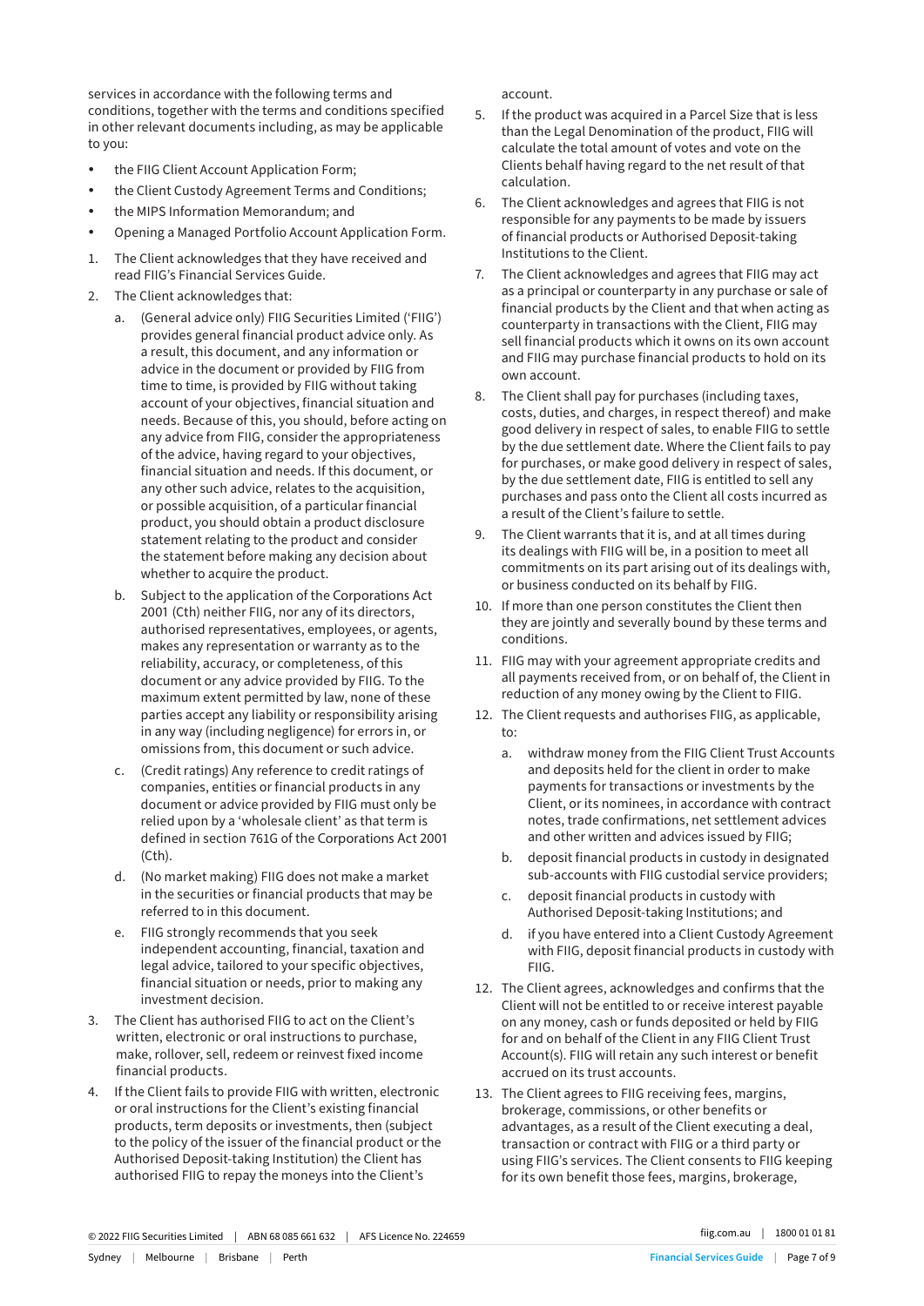services in accordance with the following terms and conditions, together with the terms and conditions specified in other relevant documents including, as may be applicable to you:

- the FIIG Client Account Application Form;
- the Client Custody Agreement Terms and Conditions;
- the MIPS Information Memorandum; and
- Opening a Managed Portfolio Account Application Form.
- 1. The Client acknowledges that they have received and read FIIG's Financial Services Guide.
- 2. The Client acknowledges that:
	- a. (General advice only) FIIG Securities Limited ('FIIG') provides general financial product advice only. As a result, this document, and any information or advice in the document or provided by FIIG from time to time, is provided by FIIG without taking account of your objectives, financial situation and needs. Because of this, you should, before acting on any advice from FIIG, consider the appropriateness of the advice, having regard to your objectives, financial situation and needs. If this document, or any other such advice, relates to the acquisition, or possible acquisition, of a particular financial product, you should obtain a product disclosure statement relating to the product and consider the statement before making any decision about whether to acquire the product.
	- b. Subject to the application of the Corporations Act 2001 (Cth) neither FIIG, nor any of its directors, authorised representatives, employees, or agents, makes any representation or warranty as to the reliability, accuracy, or completeness, of this document or any advice provided by FIIG. To the maximum extent permitted by law, none of these parties accept any liability or responsibility arising in any way (including negligence) for errors in, or omissions from, this document or such advice.
	- c. (Credit ratings) Any reference to credit ratings of companies, entities or financial products in any document or advice provided by FIIG must only be relied upon by a 'wholesale client' as that term is defined in section 761G of the Corporations Act 2001 (Cth).
	- d. (No market making) FIIG does not make a market in the securities or financial products that may be referred to in this document.
	- e. FIIG strongly recommends that you seek independent accounting, financial, taxation and legal advice, tailored to your specific objectives, financial situation or needs, prior to making any investment decision.
- 3. The Client has authorised FIIG to act on the Client's written, electronic or oral instructions to purchase, make, rollover, sell, redeem or reinvest fixed income financial products.
- 4. If the Client fails to provide FIIG with written, electronic or oral instructions for the Client's existing financial products, term deposits or investments, then (subject to the policy of the issuer of the financial product or the Authorised Deposit-taking Institution) the Client has authorised FIIG to repay the moneys into the Client's

account.

- 5. If the product was acquired in a Parcel Size that is less than the Legal Denomination of the product, FIIG will calculate the total amount of votes and vote on the Clients behalf having regard to the net result of that calculation.
- 6. The Client acknowledges and agrees that FIIG is not responsible for any payments to be made by issuers of financial products or Authorised Deposit-taking Institutions to the Client.
- 7. The Client acknowledges and agrees that FIIG may act as a principal or counterparty in any purchase or sale of financial products by the Client and that when acting as counterparty in transactions with the Client, FIIG may sell financial products which it owns on its own account and FIIG may purchase financial products to hold on its own account.
- 8. The Client shall pay for purchases (including taxes, costs, duties, and charges, in respect thereof) and make good delivery in respect of sales, to enable FIIG to settle by the due settlement date. Where the Client fails to pay for purchases, or make good delivery in respect of sales, by the due settlement date, FIIG is entitled to sell any purchases and pass onto the Client all costs incurred as a result of the Client's failure to settle.
- 9. The Client warrants that it is, and at all times during its dealings with FIIG will be, in a position to meet all commitments on its part arising out of its dealings with, or business conducted on its behalf by FIIG.
- 10. If more than one person constitutes the Client then they are jointly and severally bound by these terms and conditions.
- 11. FIIG may with your agreement appropriate credits and all payments received from, or on behalf of, the Client in reduction of any money owing by the Client to FIIG.
- 12. The Client requests and authorises FIIG, as applicable, to:
	- a. withdraw money from the FIIG Client Trust Accounts and deposits held for the client in order to make payments for transactions or investments by the Client, or its nominees, in accordance with contract notes, trade confirmations, net settlement advices and other written and advices issued by FIIG;
	- b. deposit financial products in custody in designated sub-accounts with FIIG custodial service providers;
	- c. deposit financial products in custody with Authorised Deposit-taking Institutions; and
	- d. if you have entered into a Client Custody Agreement with FIIG, deposit financial products in custody with FIIG.
- 12. The Client agrees, acknowledges and confirms that the Client will not be entitled to or receive interest payable on any money, cash or funds deposited or held by FIIG for and on behalf of the Client in any FIIG Client Trust Account(s). FIIG will retain any such interest or benefit accrued on its trust accounts.
- 13. The Client agrees to FIIG receiving fees, margins, brokerage, commissions, or other benefits or advantages, as a result of the Client executing a deal, transaction or contract with FIIG or a third party or using FIIG's services. The Client consents to FIIG keeping for its own benefit those fees, margins, brokerage,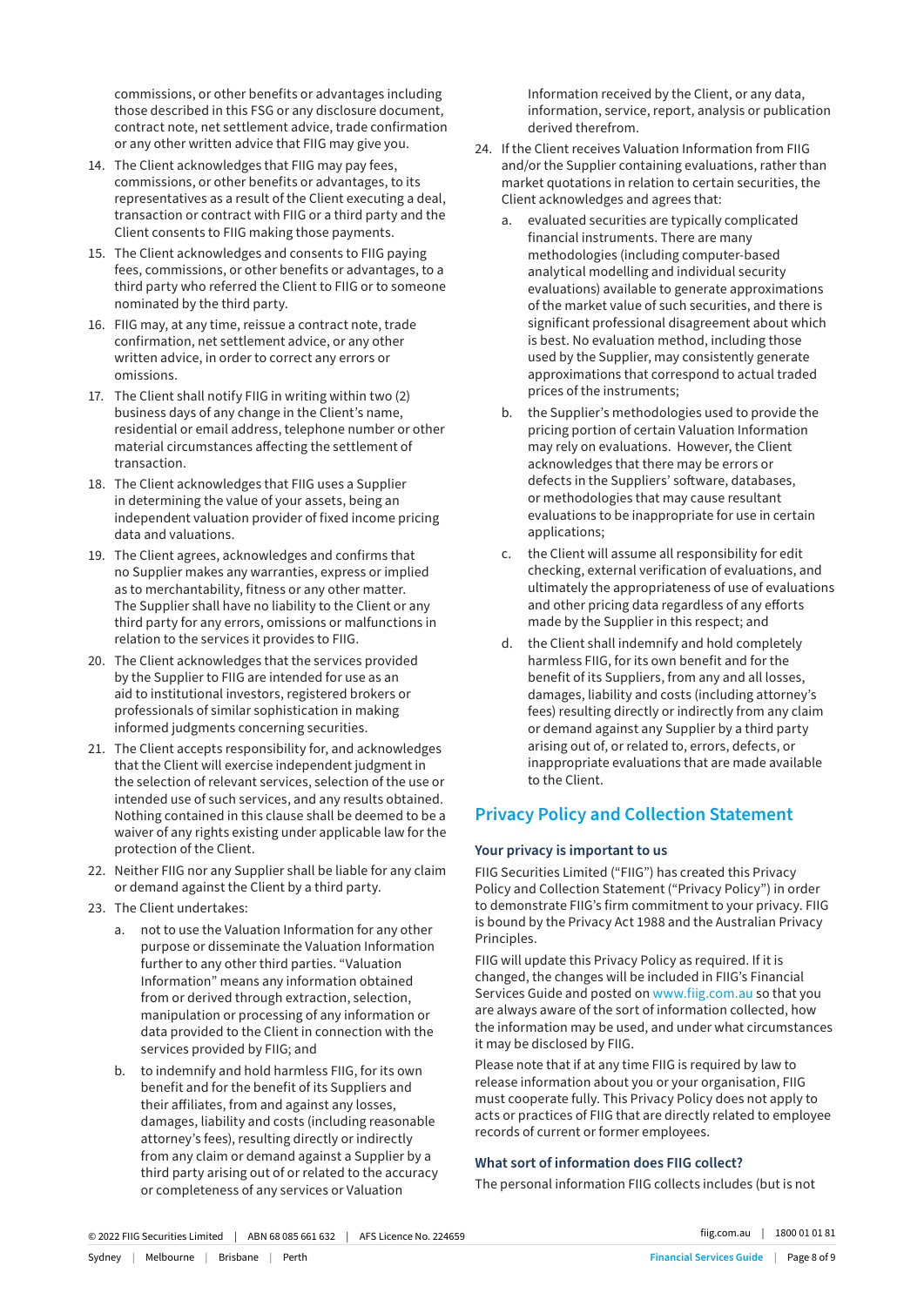commissions, or other benefits or advantages including those described in this FSG or any disclosure document, contract note, net settlement advice, trade confirmation or any other written advice that FIIG may give you.

- 14. The Client acknowledges that FIIG may pay fees, commissions, or other benefits or advantages, to its representatives as a result of the Client executing a deal, transaction or contract with FIIG or a third party and the Client consents to FIIG making those payments.
- 15. The Client acknowledges and consents to FIIG paying fees, commissions, or other benefits or advantages, to a third party who referred the Client to FIIG or to someone nominated by the third party.
- 16. FIIG may, at any time, reissue a contract note, trade confirmation, net settlement advice, or any other written advice, in order to correct any errors or omissions.
- 17. The Client shall notify FIIG in writing within two (2) business days of any change in the Client's name, residential or email address, telephone number or other material circumstances affecting the settlement of transaction.
- 18. The Client acknowledges that FIIG uses a Supplier in determining the value of your assets, being an independent valuation provider of fixed income pricing data and valuations.
- 19. The Client agrees, acknowledges and confirms that no Supplier makes any warranties, express or implied as to merchantability, fitness or any other matter. The Supplier shall have no liability to the Client or any third party for any errors, omissions or malfunctions in relation to the services it provides to FIIG.
- 20. The Client acknowledges that the services provided by the Supplier to FIIG are intended for use as an aid to institutional investors, registered brokers or professionals of similar sophistication in making informed judgments concerning securities.
- 21. The Client accepts responsibility for, and acknowledges that the Client will exercise independent judgment in the selection of relevant services, selection of the use or intended use of such services, and any results obtained. Nothing contained in this clause shall be deemed to be a waiver of any rights existing under applicable law for the protection of the Client.
- 22. Neither FIIG nor any Supplier shall be liable for any claim or demand against the Client by a third party.
- 23. The Client undertakes:
	- a. not to use the Valuation Information for any other purpose or disseminate the Valuation Information further to any other third parties. "Valuation Information" means any information obtained from or derived through extraction, selection, manipulation or processing of any information or data provided to the Client in connection with the services provided by FIIG; and
	- b. to indemnify and hold harmless FIIG, for its own benefit and for the benefit of its Suppliers and their affiliates, from and against any losses, damages, liability and costs (including reasonable attorney's fees), resulting directly or indirectly from any claim or demand against a Supplier by a third party arising out of or related to the accuracy or completeness of any services or Valuation

Information received by the Client, or any data, information, service, report, analysis or publication derived therefrom.

- 24. If the Client receives Valuation Information from FIIG and/or the Supplier containing evaluations, rather than market quotations in relation to certain securities, the Client acknowledges and agrees that:
	- a. evaluated securities are typically complicated financial instruments. There are many methodologies (including computer-based analytical modelling and individual security evaluations) available to generate approximations of the market value of such securities, and there is significant professional disagreement about which is best. No evaluation method, including those used by the Supplier, may consistently generate approximations that correspond to actual traded prices of the instruments;
	- b. the Supplier's methodologies used to provide the pricing portion of certain Valuation Information may rely on evaluations. However, the Client acknowledges that there may be errors or defects in the Suppliers' software, databases, or methodologies that may cause resultant evaluations to be inappropriate for use in certain applications;
	- c. the Client will assume all responsibility for edit checking, external verification of evaluations, and ultimately the appropriateness of use of evaluations and other pricing data regardless of any efforts made by the Supplier in this respect; and
	- d. the Client shall indemnify and hold completely harmless FIIG, for its own benefit and for the benefit of its Suppliers, from any and all losses, damages, liability and costs (including attorney's fees) resulting directly or indirectly from any claim or demand against any Supplier by a third party arising out of, or related to, errors, defects, or inappropriate evaluations that are made available to the Client.

# **Privacy Policy and Collection Statement**

## **Your privacy is important to us**

FIIG Securities Limited ("FIIG") has created this Privacy Policy and Collection Statement ("Privacy Policy") in order to demonstrate FIIG's firm commitment to your privacy. FIIG is bound by the Privacy Act 1988 and the Australian Privacy Principles.

FIIG will update this Privacy Policy as required. If it is changed, the changes will be included in FIIG's Financial Services Guide and posted on www.fiig.com.au so that you are always aware of the sort of information collected, how the information may be used, and under what circumstances it may be disclosed by FIIG.

Please note that if at any time FIIG is required by law to release information about you or your organisation, FIIG must cooperate fully. This Privacy Policy does not apply to acts or practices of FIIG that are directly related to employee records of current or former employees.

# **What sort of information does FIIG collect?**

The personal information FIIG collects includes (but is not